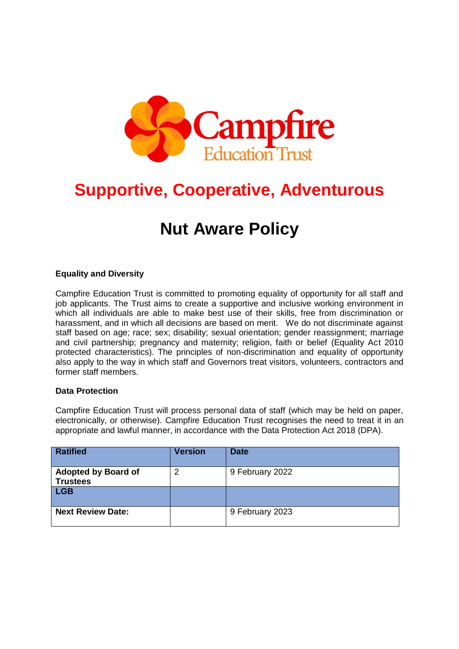

# **Supportive, Cooperative, Adventurous**

# **Nut Aware Policy**

### **Equality and Diversity**

Campfire Education Trust is committed to promoting equality of opportunity for all staff and job applicants. The Trust aims to create a supportive and inclusive working environment in which all individuals are able to make best use of their skills, free from discrimination or harassment, and in which all decisions are based on merit. We do not discriminate against staff based on age; race; sex; disability; sexual orientation; gender reassignment; marriage and civil partnership; pregnancy and maternity; religion, faith or belief (Equality Act 2010 protected characteristics). The principles of non-discrimination and equality of opportunity also apply to the way in which staff and Governors treat visitors, volunteers, contractors and former staff members.

#### **Data Protection**

Campfire Education Trust will process personal data of staff (which may be held on paper, electronically, or otherwise). Campfire Education Trust recognises the need to treat it in an appropriate and lawful manner, in accordance with the Data Protection Act 2018 (DPA).

| <b>Ratified</b>                               | <b>Version</b> | <b>Date</b>     |
|-----------------------------------------------|----------------|-----------------|
| <b>Adopted by Board of</b><br><b>Trustees</b> | 2              | 9 February 2022 |
| <b>LGB</b>                                    |                |                 |
| <b>Next Review Date:</b>                      |                | 9 February 2023 |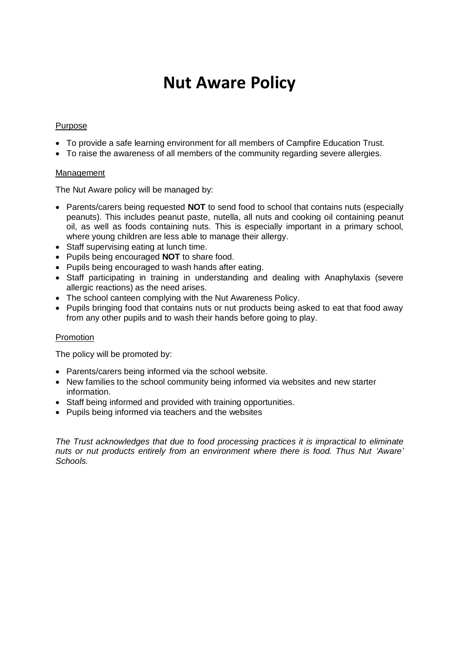# **Nut Aware Policy**

#### Purpose

- To provide a safe learning environment for all members of Campfire Education Trust.
- To raise the awareness of all members of the community regarding severe allergies.

#### Management

The Nut Aware policy will be managed by:

- Parents/carers being requested **NOT** to send food to school that contains nuts (especially peanuts). This includes peanut paste, nutella, all nuts and cooking oil containing peanut oil, as well as foods containing nuts. This is especially important in a primary school, where young children are less able to manage their allergy.
- Staff supervising eating at lunch time.
- Pupils being encouraged **NOT** to share food.
- Pupils being encouraged to wash hands after eating.
- Staff participating in training in understanding and dealing with Anaphylaxis (severe allergic reactions) as the need arises.
- The school canteen complying with the Nut Awareness Policy.
- Pupils bringing food that contains nuts or nut products being asked to eat that food away from any other pupils and to wash their hands before going to play.

#### Promotion

The policy will be promoted by:

- Parents/carers being informed via the school website.
- New families to the school community being informed via websites and new starter information.
- Staff being informed and provided with training opportunities.
- Pupils being informed via teachers and the websites

*The Trust acknowledges that due to food processing practices it is impractical to eliminate nuts or nut products entirely from an environment where there is food. Thus Nut 'Aware' Schools.*